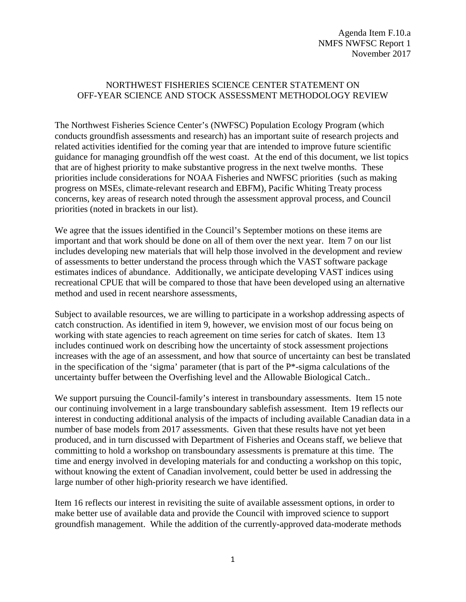### NORTHWEST FISHERIES SCIENCE CENTER STATEMENT ON OFF-YEAR SCIENCE AND STOCK ASSESSMENT METHODOLOGY REVIEW

The Northwest Fisheries Science Center's (NWFSC) Population Ecology Program (which conducts groundfish assessments and research) has an important suite of research projects and related activities identified for the coming year that are intended to improve future scientific guidance for managing groundfish off the west coast. At the end of this document, we list topics that are of highest priority to make substantive progress in the next twelve months. These priorities include considerations for NOAA Fisheries and NWFSC priorities (such as making progress on MSEs, climate-relevant research and EBFM), Pacific Whiting Treaty process concerns, key areas of research noted through the assessment approval process, and Council priorities (noted in brackets in our list).

We agree that the issues identified in the Council's September motions on these items are important and that work should be done on all of them over the next year. Item 7 on our list includes developing new materials that will help those involved in the development and review of assessments to better understand the process through which the VAST software package estimates indices of abundance. Additionally, we anticipate developing VAST indices using recreational CPUE that will be compared to those that have been developed using an alternative method and used in recent nearshore assessments,

Subject to available resources, we are willing to participate in a workshop addressing aspects of catch construction. As identified in item 9, however, we envision most of our focus being on working with state agencies to reach agreement on time series for catch of skates. Item 13 includes continued work on describing how the uncertainty of stock assessment projections increases with the age of an assessment, and how that source of uncertainty can best be translated in the specification of the 'sigma' parameter (that is part of the P\*-sigma calculations of the uncertainty buffer between the Overfishing level and the Allowable Biological Catch..

We support pursuing the Council-family's interest in transboundary assessments. Item 15 note our continuing involvement in a large transboundary sablefish assessment. Item 19 reflects our interest in conducting additional analysis of the impacts of including available Canadian data in a number of base models from 2017 assessments. Given that these results have not yet been produced, and in turn discussed with Department of Fisheries and Oceans staff, we believe that committing to hold a workshop on transboundary assessments is premature at this time. The time and energy involved in developing materials for and conducting a workshop on this topic, without knowing the extent of Canadian involvement, could better be used in addressing the large number of other high-priority research we have identified.

Item 16 reflects our interest in revisiting the suite of available assessment options, in order to make better use of available data and provide the Council with improved science to support groundfish management. While the addition of the currently-approved data-moderate methods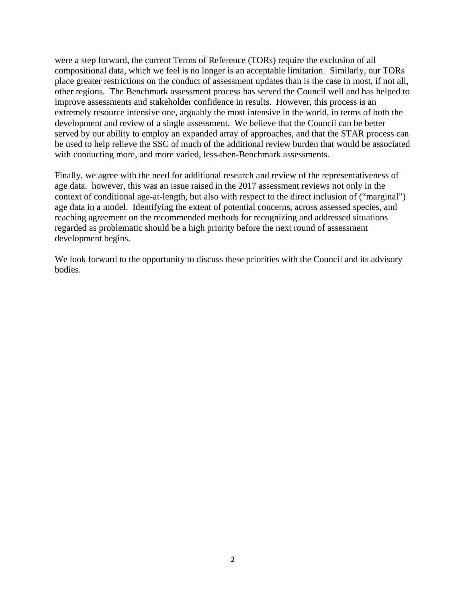were a step forward, the current Terms of Reference (TORs) require the exclusion of all compositional data, which we feel is no longer is an acceptable limitation. Similarly, our TORs place greater restrictions on the conduct of assessment updates than is the case in most, if not all, other regions. The Benchmark assessment process has served the Council well and has helped to improve assessments and stakeholder confidence in results. However, this process is an extremely resource intensive one, arguably the most intensive in the world, in terms of both the development and review of a single assessment. We believe that the Council can be better served by our ability to employ an expanded array of approaches, and that the STAR process can be used to help relieve the SSC of much of the additional review burden that would be associated with conducting more, and more varied, less-then-Benchmark assessments.

Finally, we agree with the need for additional research and review of the representativeness of age data. however, this was an issue raised in the 2017 assessment reviews not only in the context of conditional age-at-length, but also with respect to the direct inclusion of ("marginal") age data in a model. Identifying the extent of potential concerns, across assessed species, and reaching agreement on the recommended methods for recognizing and addressed situations regarded as problematic should be a high priority before the next round of assessment development begins.

We look forward to the opportunity to discuss these priorities with the Council and its advisory bodies.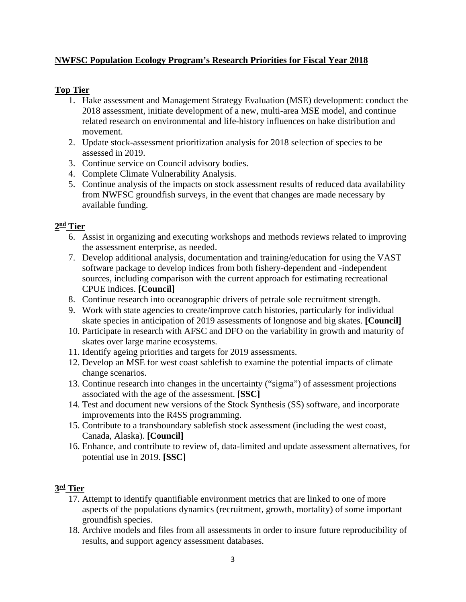# **NWFSC Population Ecology Program's Research Priorities for Fiscal Year 2018**

# **Top Tier**

- 1. Hake assessment and Management Strategy Evaluation (MSE) development: conduct the 2018 assessment, initiate development of a new, multi-area MSE model, and continue related research on environmental and life-history influences on hake distribution and movement.
- 2. Update stock-assessment prioritization analysis for 2018 selection of species to be assessed in 2019.
- 3. Continue service on Council advisory bodies.
- 4. Complete Climate Vulnerability Analysis.
- 5. Continue analysis of the impacts on stock assessment results of reduced data availability from NWFSC groundfish surveys, in the event that changes are made necessary by available funding.

### **2nd Tier**

- 6. Assist in organizing and executing workshops and methods reviews related to improving the assessment enterprise, as needed.
- 7. Develop additional analysis, documentation and training/education for using the VAST software package to develop indices from both fishery-dependent and -independent sources, including comparison with the current approach for estimating recreational CPUE indices. **[Council]**
- 8. Continue research into oceanographic drivers of petrale sole recruitment strength.
- 9. Work with state agencies to create/improve catch histories, particularly for individual skate species in anticipation of 2019 assessments of longnose and big skates. **[Council]**
- 10. Participate in research with AFSC and DFO on the variability in growth and maturity of skates over large marine ecosystems.
- 11. Identify ageing priorities and targets for 2019 assessments.
- 12. Develop an MSE for west coast sablefish to examine the potential impacts of climate change scenarios.
- 13. Continue research into changes in the uncertainty ("sigma") of assessment projections associated with the age of the assessment. **[SSC]**
- 14. Test and document new versions of the Stock Synthesis (SS) software, and incorporate improvements into the R4SS programming.
- 15. Contribute to a transboundary sablefish stock assessment (including the west coast, Canada, Alaska). **[Council]**
- 16. Enhance, and contribute to review of, data-limited and update assessment alternatives, for potential use in 2019. **[SSC]**

### **3rd Tier**

- 17. Attempt to identify quantifiable environment metrics that are linked to one of more aspects of the populations dynamics (recruitment, growth, mortality) of some important groundfish species.
- 18. Archive models and files from all assessments in order to insure future reproducibility of results, and support agency assessment databases.